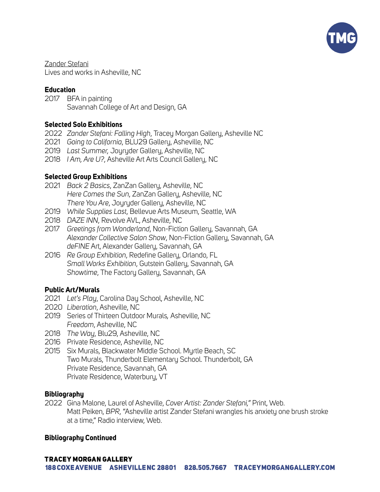

Zander Stefani Lives and works in Asheville, NC

# **Education**

2017 BFA in painting Savannah College of Art and Design, GA

# **Selected Solo Exhibitions**

- 2022 *Zander Stefani: Falling High*, Tracey Morgan Gallery, Asheville NC
- 2021 *Going to California*, BLU29 Gallery, Asheville, NC
- 2019 *Last Summer,* Joyryder Gallery, Asheville, NC
- 2018 *I Am, Are U?*, Asheville Art Arts Council Gallery, NC

# **Selected Group Exhibitions**

- 2021 *Back 2 Basics*, ZanZan Gallery, Asheville, NC *Here Comes the Sun*, ZanZan Gallery, Asheville, NC *There You Are*, Joyryder Gallery, Asheville, NC
- 2019 *While Supplies Last*, Bellevue Arts Museum, Seattle, WA
- 2018 *DAZE INN*, Revolve AVL, Asheville, NC
- 2017 *Greetings from Wonderland*, Non-Fiction Gallery, Savannah, GA *Alexander Collective Salon Show*, Non-Fiction Gallery, Savannah, GA *deFINE* Art, Alexander Gallery, Savannah, GA
- 2016 *Re Group Exhibition*, Redefine Gallery, Orlando, FL *Small Works Exhibition*, Gutstein Gallery, Savannah, GA *Showtime*, The Factory Gallery, Savannah, GA

# **Public Art/Murals**

- 2021 *Let's Play*, Carolina Day School, Asheville, NC
- 2020 *Liberation*, Asheville, NC
- 2019 Series of Thirteen Outdoor Murals*,* Asheville, NC *Freedom*, Asheville, NC
- 2018 *The Way*, Blu29, Asheville, NC
- 2016 Private Residence, Asheville, NC
- 2015 Six Murals, Blackwater Middle School. Myrtle Beach, SC Two Murals, Thunderbolt Elementary School. Thunderbolt, GA Private Residence, Savannah, GA Private Residence, Waterbury, VT

## **Bibliography**

2022 Gina Malone, Laurel of Asheville, *Cover Artist: Zander Stefani,"* Print, Web. Matt Peiken, *BPR*, "Asheville artist Zander Stefani wrangles his anxiety one brush stroke at a time," Radio interview, Web.

# **Bibliography Continued**

# **TRACEY MORGAN GALLERY**